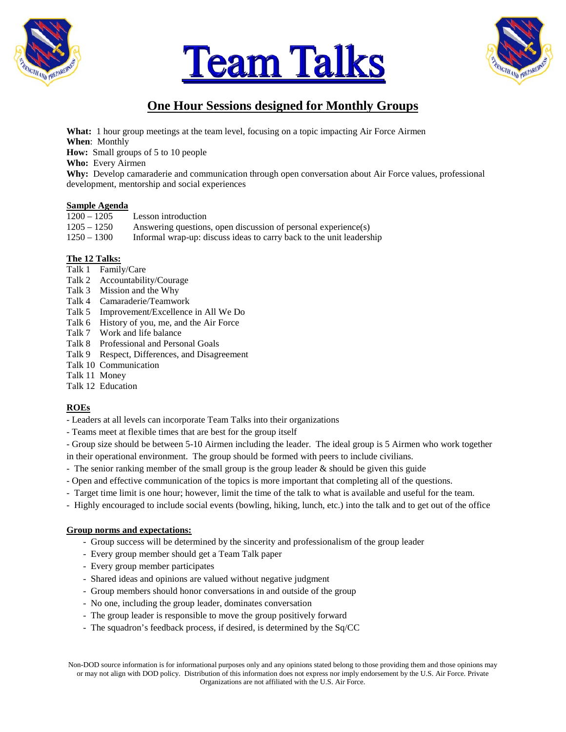





# **One Hour Sessions designed for Monthly Groups**

**What:** 1 hour group meetings at the team level, focusing on a topic impacting Air Force Airmen **When**: Monthly **How:** Small groups of 5 to 10 people **Who:** Every Airmen **Why:** Develop camaraderie and communication through open conversation about Air Force values, professional development, mentorship and social experiences

## **Sample Agenda**

| $1200 - 1205$ | Lesson introduction                                                  |
|---------------|----------------------------------------------------------------------|
| $1205 - 1250$ | Answering questions, open discussion of personal experience(s)       |
| $1250 - 1300$ | Informal wrap-up: discuss ideas to carry back to the unit leadership |

## **The 12 Talks:**

- Talk 1 Family/Care
- Talk 2 Accountability/Courage
- Talk 3 Mission and the Why
- Talk 4 Camaraderie/Teamwork
- Talk 5 Improvement/Excellence in All We Do
- Talk 6 History of you, me, and the Air Force
- Talk 7 Work and life balance
- Talk 8 Professional and Personal Goals
- Talk 9 Respect, Differences, and Disagreement
- Talk 10 Communication
- Talk 11 Money
- Talk 12 Education

## **ROEs**

- Leaders at all levels can incorporate Team Talks into their organizations
- Teams meet at flexible times that are best for the group itself
- Group size should be between 5-10 Airmen including the leader. The ideal group is 5 Airmen who work together
- in their operational environment. The group should be formed with peers to include civilians.
- The senior ranking member of the small group is the group leader  $\&$  should be given this guide
- Open and effective communication of the topics is more important that completing all of the questions.
- Target time limit is one hour; however, limit the time of the talk to what is available and useful for the team.
- Highly encouraged to include social events (bowling, hiking, lunch, etc.) into the talk and to get out of the office

#### **Group norms and expectations:**

- Group success will be determined by the sincerity and professionalism of the group leader
- Every group member should get a Team Talk paper
- Every group member participates
- Shared ideas and opinions are valued without negative judgment
- Group members should honor conversations in and outside of the group
- No one, including the group leader, dominates conversation
- The group leader is responsible to move the group positively forward
- The squadron's feedback process, if desired, is determined by the Sq/CC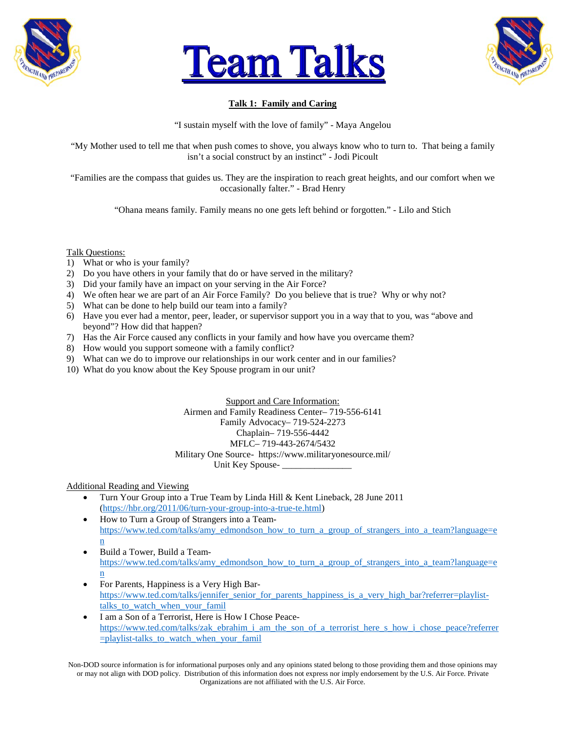





## **Talk 1: Family and Caring**

"I sustain myself with the love of family" - Maya Angelou

"My Mother used to tell me that when push comes to shove, you always know who to turn to. That being a family isn't a social construct by an instinct" - Jodi Picoult

"Families are the compass that guides us. They are the inspiration to reach great heights, and our comfort when we occasionally falter." - Brad Henry

"Ohana means family. Family means no one gets left behind or forgotten." - Lilo and Stich

Talk Questions:

- 1) What or who is your family?
- 2) Do you have others in your family that do or have served in the military?
- 3) Did your family have an impact on your serving in the Air Force?
- 4) We often hear we are part of an Air Force Family? Do you believe that is true? Why or why not?
- 5) What can be done to help build our team into a family?
- 6) Have you ever had a mentor, peer, leader, or supervisor support you in a way that to you, was "above and beyond"? How did that happen?
- 7) Has the Air Force caused any conflicts in your family and how have you overcame them?
- 8) How would you support someone with a family conflict?
- 9) What can we do to improve our relationships in our work center and in our families?
- 10) What do you know about the Key Spouse program in our unit?

Support and Care Information: Airmen and Family Readiness Center– 719-556-6141 Family Advocacy– 719-524-2273 Chaplain– 719-556-4442 MFLC– 719-443-2674/5432 Military One Source- https://www.militaryonesource.mil/ Unit Key Spouse- \_\_\_\_\_\_\_\_\_\_\_\_\_\_\_

Additional Reading and Viewing

- Turn Your Group into a True Team by Linda Hill & Kent Lineback, 28 June 2011 [\(https://hbr.org/2011/06/turn-your-group-into-a-true-te.html\)](https://hbr.org/2011/06/turn-your-group-into-a-true-te.html)
- How to Turn a Group of Strangers into a Team[https://www.ted.com/talks/amy\\_edmondson\\_how\\_to\\_turn\\_a\\_group\\_of\\_strangers\\_into\\_a\\_team?language=e](https://www.ted.com/talks/amy_edmondson_how_to_turn_a_group_of_strangers_into_a_team?language=en) [n](https://www.ted.com/talks/amy_edmondson_how_to_turn_a_group_of_strangers_into_a_team?language=en)
- Build a Tower, Build a Team[https://www.ted.com/talks/amy\\_edmondson\\_how\\_to\\_turn\\_a\\_group\\_of\\_strangers\\_into\\_a\\_team?language=e](https://www.ted.com/talks/amy_edmondson_how_to_turn_a_group_of_strangers_into_a_team?language=en) [n](https://www.ted.com/talks/amy_edmondson_how_to_turn_a_group_of_strangers_into_a_team?language=en)
- For Parents, Happiness is a Very High Bar[https://www.ted.com/talks/jennifer\\_senior\\_for\\_parents\\_happiness\\_is\\_a\\_very\\_high\\_bar?referrer=playlist](https://www.ted.com/talks/jennifer_senior_for_parents_happiness_is_a_very_high_bar?referrer=playlist-talks_to_watch_when_your_famil)[talks\\_to\\_watch\\_when\\_your\\_famil](https://www.ted.com/talks/jennifer_senior_for_parents_happiness_is_a_very_high_bar?referrer=playlist-talks_to_watch_when_your_famil)
- I am a Son of a Terrorist, Here is How I Chose Peace[https://www.ted.com/talks/zak\\_ebrahim\\_i\\_am\\_the\\_son\\_of\\_a\\_terrorist\\_here\\_s\\_how\\_i\\_chose\\_peace?referrer](https://www.ted.com/talks/zak_ebrahim_i_am_the_son_of_a_terrorist_here_s_how_i_chose_peace?referrer=playlist-talks_to_watch_when_your_famil) [=playlist-talks\\_to\\_watch\\_when\\_your\\_famil](https://www.ted.com/talks/zak_ebrahim_i_am_the_son_of_a_terrorist_here_s_how_i_chose_peace?referrer=playlist-talks_to_watch_when_your_famil)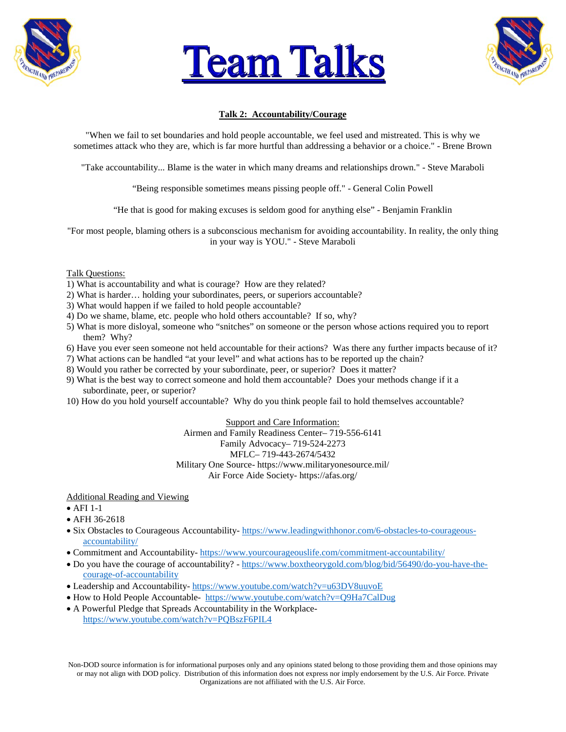





## **Talk 2: Accountability/Courage**

"When we fail to set boundaries and hold people accountable, we feel used and mistreated. This is why we sometimes attack who they are, which is far more hurtful than addressing a behavior or a choice." - Brene Brown

"Take accountability... Blame is the water in which many dreams and relationships drown." - Steve Maraboli

"Being responsible sometimes means pissing people off." - General Colin Powell

"He that is good for making excuses is seldom good for anything else" - Benjamin Franklin

"For most people, blaming others is a subconscious mechanism for avoiding accountability. In reality, the only thing in your way is YOU." - Steve Maraboli

#### Talk Questions:

- 1) What is accountability and what is courage? How are they related?
- 2) What is harder… holding your subordinates, peers, or superiors accountable?
- 3) What would happen if we failed to hold people accountable?
- 4) Do we shame, blame, etc. people who hold others accountable? If so, why?
- 5) What is more disloyal, someone who "snitches" on someone or the person whose actions required you to report them? Why?
- 6) Have you ever seen someone not held accountable for their actions? Was there any further impacts because of it?
- 7) What actions can be handled "at your level" and what actions has to be reported up the chain?
- 8) Would you rather be corrected by your subordinate, peer, or superior? Does it matter?
- 9) What is the best way to correct someone and hold them accountable? Does your methods change if it a subordinate, peer, or superior?
- 10) How do you hold yourself accountable? Why do you think people fail to hold themselves accountable?

#### Support and Care Information:

Airmen and Family Readiness Center– 719-556-6141 Family Advocacy– 719-524-2273 MFLC– 719-443-2674/5432 Military One Source- https://www.militaryonesource.mil/ Air Force Aide Society- https://afas.org/

Additional Reading and Viewing

- $\bullet$  AFI 1-1
- AFH 36-2618
- Six Obstacles to Courageous Accountability- [https://www.leadingwithhonor.com/6-obstacles-to-courageous](https://www.leadingwithhonor.com/6-obstacles-to-courageous-accountability/)[accountability/](https://www.leadingwithhonor.com/6-obstacles-to-courageous-accountability/)
- Commitment and Accountability- <https://www.yourcourageouslife.com/commitment-accountability/>
- Do you have the courage of accountability? [https://www.boxtheorygold.com/blog/bid/56490/do-you-have-the](https://www.boxtheorygold.com/blog/bid/56490/do-you-have-the-courage-of-accountability)[courage-of-accountability](https://www.boxtheorygold.com/blog/bid/56490/do-you-have-the-courage-of-accountability)
- Leadership and Accountability- <https://www.youtube.com/watch?v=u63DV8uuvoE>
- How to Hold People Accountable- <https://www.youtube.com/watch?v=Q9Ha7CalDug>
- A Powerful Pledge that Spreads Accountability in the Workplace<https://www.youtube.com/watch?v=PQBszF6PIL4>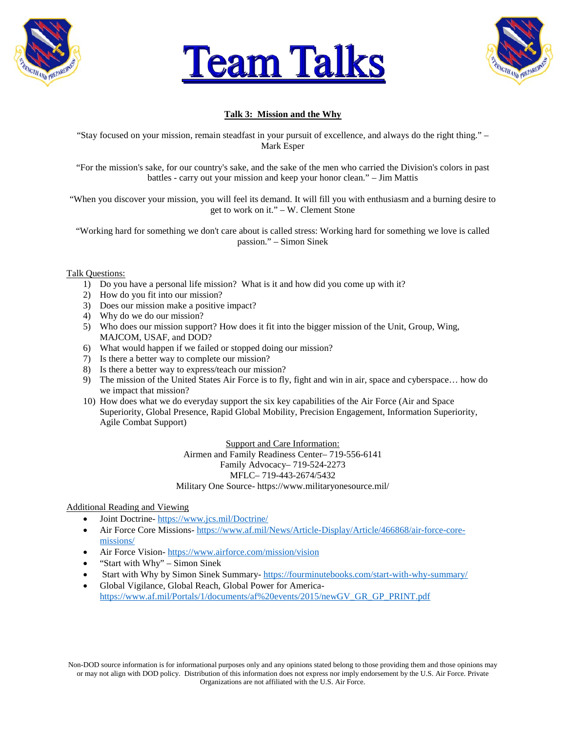





## **Talk 3: Mission and the Why**

"Stay focused on your mission, remain steadfast in your pursuit of excellence, and always do the right thing." – Mark Esper

"For the mission's sake, for our country's sake, and the sake of the men who carried the Division's colors in past battles - carry out your mission and keep your honor clean." – Jim Mattis

"When you discover your mission, you will feel its demand. It will fill you with enthusiasm and a burning desire to get to work on it." – W. Clement Stone

"Working hard for something we don't care about is called stress: Working hard for something we love is called passion." – Simon Sinek

#### Talk Questions:

- 1) Do you have a personal life mission? What is it and how did you come up with it?
- 2) How do you fit into our mission?
- 3) Does our mission make a positive impact?
- 4) Why do we do our mission?
- 5) Who does our mission support? How does it fit into the bigger mission of the Unit, Group, Wing, MAJCOM, USAF, and DOD?
- 6) What would happen if we failed or stopped doing our mission?
- 7) Is there a better way to complete our mission?
- 8) Is there a better way to express/teach our mission?
- 9) The mission of the United States Air Force is to fly, fight and win in air, space and cyberspace… how do we impact that mission?
- 10) How does what we do everyday support the six key capabilities of the Air Force (Air and Space Superiority, Global Presence, Rapid Global Mobility, Precision Engagement, Information Superiority, Agile Combat Support)

Support and Care Information: Airmen and Family Readiness Center– 719-556-6141 Family Advocacy– 719-524-2273 MFLC– 719-443-2674/5432 Military One Source- https://www.militaryonesource.mil/

#### Additional Reading and Viewing

- Joint Doctrine- <https://www.jcs.mil/Doctrine/>
- Air Force Core Missions- [https://www.af.mil/News/Article-Display/Article/466868/air-force-core](https://www.af.mil/News/Article-Display/Article/466868/air-force-core-missions/)[missions/](https://www.af.mil/News/Article-Display/Article/466868/air-force-core-missions/)
- Air Force Vision- <https://www.airforce.com/mission/vision>
- "Start with Why" Simon Sinek
- Start with Why by Simon Sinek Summary- <https://fourminutebooks.com/start-with-why-summary/>
- Global Vigilance, Global Reach, Global Power for America[https://www.af.mil/Portals/1/documents/af%20events/2015/newGV\\_GR\\_GP\\_PRINT.pdf](https://www.af.mil/Portals/1/documents/af%20events/2015/newGV_GR_GP_PRINT.pdf)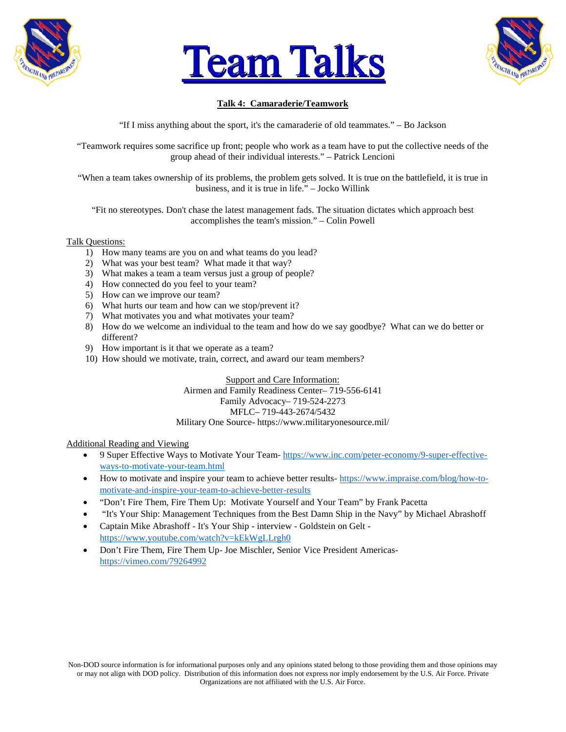





## **Talk 4: Camaraderie/Teamwork**

"If I miss anything about the sport, it's the camaraderie of old teammates." – Bo Jackson

"Teamwork requires some sacrifice up front; people who work as a team have to put the collective needs of the group ahead of their individual interests." – Patrick Lencioni

"When a team takes ownership of its problems, the problem gets solved. It is true on the battlefield, it is true in business, and it is true in life." – Jocko Willink

"Fit no stereotypes. Don't chase the latest management fads. The situation dictates which approach best accomplishes the team's mission." – Colin Powell

#### Talk Questions:

- 1) How many teams are you on and what teams do you lead?
- 2) What was your best team? What made it that way?
- 3) What makes a team a team versus just a group of people?
- 4) How connected do you feel to your team?
- 5) How can we improve our team?
- 6) What hurts our team and how can we stop/prevent it?
- 7) What motivates you and what motivates your team?
- 8) How do we welcome an individual to the team and how do we say goodbye? What can we do better or different?
- 9) How important is it that we operate as a team?
- 10) How should we motivate, train, correct, and award our team members?

Support and Care Information: Airmen and Family Readiness Center– 719-556-6141 Family Advocacy– 719-524-2273 MFLC– 719-443-2674/5432 Military One Source- https://www.militaryonesource.mil/

- 9 Super Effective Ways to Motivate Your Team- [https://www.inc.com/peter-economy/9-super-effective](https://www.inc.com/peter-economy/9-super-effective-ways-to-motivate-your-team.html)[ways-to-motivate-your-team.html](https://www.inc.com/peter-economy/9-super-effective-ways-to-motivate-your-team.html)
- How to motivate and inspire your team to achieve better results- [https://www.impraise.com/blog/how-to](https://www.impraise.com/blog/how-to-motivate-and-inspire-your-team-to-achieve-better-results)[motivate-and-inspire-your-team-to-achieve-better-results](https://www.impraise.com/blog/how-to-motivate-and-inspire-your-team-to-achieve-better-results)
- "Don't Fire Them, Fire Them Up: Motivate Yourself and Your Team" by Frank Pacetta
- "It's Your Ship: Management Techniques from the Best Damn Ship in the Navy" by Michael Abrashoff
- Captain Mike Abrashoff It's Your Ship interview Goldstein on Gelt <https://www.youtube.com/watch?v=kEkWgLLrgh0>
- Don't Fire Them, Fire Them Up- Joe Mischler, Senior Vice President Americas<https://vimeo.com/79264992>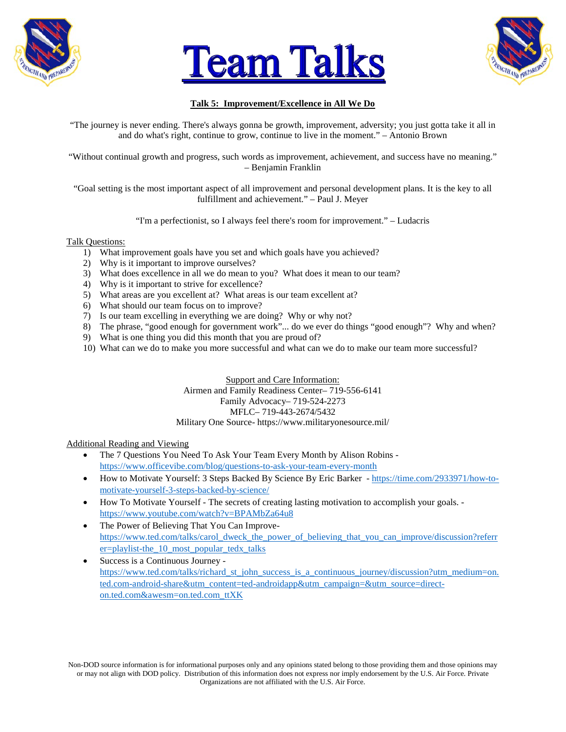





## **Talk 5: Improvement/Excellence in All We Do**

"The journey is never ending. There's always gonna be growth, improvement, adversity; you just gotta take it all in and do what's right, continue to grow, continue to live in the moment." – Antonio Brown

"Without continual growth and progress, such words as improvement, achievement, and success have no meaning." – Benjamin Franklin

"Goal setting is the most important aspect of all improvement and personal development plans. It is the key to all fulfillment and achievement." – Paul J. Meyer

"I'm a perfectionist, so I always feel there's room for improvement." – Ludacris

#### Talk Questions:

- 1) What improvement goals have you set and which goals have you achieved?
- 2) Why is it important to improve ourselves?
- 3) What does excellence in all we do mean to you? What does it mean to our team?
- 4) Why is it important to strive for excellence?
- 5) What areas are you excellent at? What areas is our team excellent at?
- 6) What should our team focus on to improve?
- 7) Is our team excelling in everything we are doing? Why or why not?
- 8) The phrase, "good enough for government work"... do we ever do things "good enough"? Why and when?
- 9) What is one thing you did this month that you are proud of?
- 10) What can we do to make you more successful and what can we do to make our team more successful?

Support and Care Information: Airmen and Family Readiness Center– 719-556-6141 Family Advocacy– 719-524-2273 MFLC– 719-443-2674/5432 Military One Source- https://www.militaryonesource.mil/

#### Additional Reading and Viewing

- The 7 Questions You Need To Ask Your Team Every Month by Alison Robins <https://www.officevibe.com/blog/questions-to-ask-your-team-every-month>
- How to Motivate Yourself: 3 Steps Backed By Science By Eric Barker [https://time.com/2933971/how-to](https://time.com/2933971/how-to-motivate-yourself-3-steps-backed-by-science/)[motivate-yourself-3-steps-backed-by-science/](https://time.com/2933971/how-to-motivate-yourself-3-steps-backed-by-science/)
- How To Motivate Yourself The secrets of creating lasting motivation to accomplish your goals. <https://www.youtube.com/watch?v=BPAMbZa64u8>
- The Power of Believing That You Can Improve[https://www.ted.com/talks/carol\\_dweck\\_the\\_power\\_of\\_believing\\_that\\_you\\_can\\_improve/discussion?referr](https://www.ted.com/talks/carol_dweck_the_power_of_believing_that_you_can_improve/discussion?referrer=playlist-the_10_most_popular_tedx_talks) [er=playlist-the\\_10\\_most\\_popular\\_tedx\\_talks](https://www.ted.com/talks/carol_dweck_the_power_of_believing_that_you_can_improve/discussion?referrer=playlist-the_10_most_popular_tedx_talks)
- Success is a Continuous Journey [https://www.ted.com/talks/richard\\_st\\_john\\_success\\_is\\_a\\_continuous\\_journey/discussion?utm\\_medium=on.](https://www.ted.com/talks/richard_st_john_success_is_a_continuous_journey/discussion?utm_medium=on.ted.com-android-share&utm_content=ted-androidapp&utm_campaign=&utm_source=direct-on.ted.com&awesm=on.ted.com_ttXK) [ted.com-android-share&utm\\_content=ted-androidapp&utm\\_campaign=&utm\\_source=direct](https://www.ted.com/talks/richard_st_john_success_is_a_continuous_journey/discussion?utm_medium=on.ted.com-android-share&utm_content=ted-androidapp&utm_campaign=&utm_source=direct-on.ted.com&awesm=on.ted.com_ttXK)[on.ted.com&awesm=on.ted.com\\_ttXK](https://www.ted.com/talks/richard_st_john_success_is_a_continuous_journey/discussion?utm_medium=on.ted.com-android-share&utm_content=ted-androidapp&utm_campaign=&utm_source=direct-on.ted.com&awesm=on.ted.com_ttXK)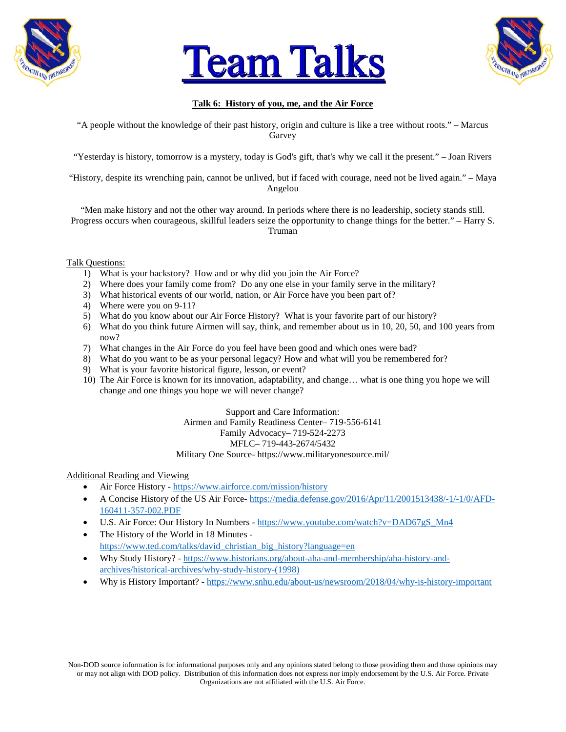





## **Talk 6: History of you, me, and the Air Force**

"A people without the knowledge of their past history, origin and culture is like a tree without roots." – Marcus Garvey

"Yesterday is history, tomorrow is a mystery, today is God's gift, that's why we call it the present." – Joan Rivers

"History, despite its wrenching pain, cannot be unlived, but if faced with courage, need not be lived again." - Maya Angelou

"Men make history and not the other way around. In periods where there is no leadership, society stands still. Progress occurs when courageous, skillful leaders seize the opportunity to change things for the better." – Harry S. Truman

Talk Questions:

- 1) What is your backstory? How and or why did you join the Air Force?
- 2) Where does your family come from? Do any one else in your family serve in the military?
- 3) What historical events of our world, nation, or Air Force have you been part of?
- 4) Where were you on 9-11?
- 5) What do you know about our Air Force History? What is your favorite part of our history?
- 6) What do you think future Airmen will say, think, and remember about us in 10, 20, 50, and 100 years from now?
- 7) What changes in the Air Force do you feel have been good and which ones were bad?
- 8) What do you want to be as your personal legacy? How and what will you be remembered for?
- 9) What is your favorite historical figure, lesson, or event?
- 10) The Air Force is known for its innovation, adaptability, and change… what is one thing you hope we will change and one things you hope we will never change?

Support and Care Information: Airmen and Family Readiness Center– 719-556-6141 Family Advocacy– 719-524-2273 MFLC– 719-443-2674/5432

Military One Source- https://www.militaryonesource.mil/

- Air Force History <https://www.airforce.com/mission/history>
- A Concise History of the US Air Force- [https://media.defense.gov/2016/Apr/11/2001513438/-1/-1/0/AFD-](https://media.defense.gov/2016/Apr/11/2001513438/-1/-1/0/AFD-160411-357-002.PDF)[160411-357-002.PDF](https://media.defense.gov/2016/Apr/11/2001513438/-1/-1/0/AFD-160411-357-002.PDF)
- U.S. Air Force: Our History In Numbers [https://www.youtube.com/watch?v=DAD67gS\\_Mn4](https://www.youtube.com/watch?v=DAD67gS_Mn4)
- The History of the World in 18 Minutes [https://www.ted.com/talks/david\\_christian\\_big\\_history?language=en](https://www.ted.com/talks/david_christian_big_history?language=en)
- Why Study History? [https://www.historians.org/about-aha-and-membership/aha-history-and](https://www.historians.org/about-aha-and-membership/aha-history-and-archives/historical-archives/why-study-history-(1998))[archives/historical-archives/why-study-history-\(1998\)](https://www.historians.org/about-aha-and-membership/aha-history-and-archives/historical-archives/why-study-history-(1998))
- Why is History Important? <https://www.snhu.edu/about-us/newsroom/2018/04/why-is-history-important>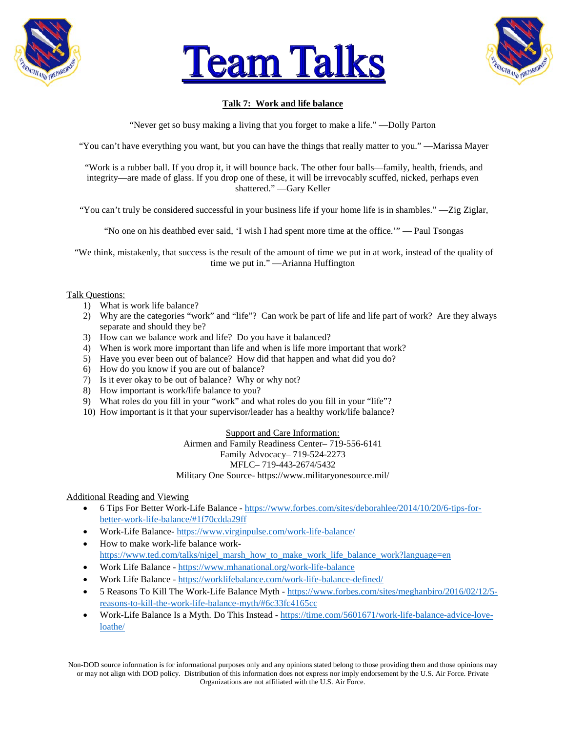





## **Talk 7: Work and life balance**

"Never get so busy making a living that you forget to make a life." —Dolly Parton

"You can't have everything you want, but you can have the things that really matter to you." —Marissa Mayer

"Work is a rubber ball. If you drop it, it will bounce back. The other four balls—family, health, friends, and integrity—are made of glass. If you drop one of these, it will be irrevocably scuffed, nicked, perhaps even shattered." —Gary Keller

"You can't truly be considered successful in your business life if your home life is in shambles." —Zig Ziglar,

"No one on his deathbed ever said, 'I wish I had spent more time at the office.'" — Paul Tsongas

"We think, mistakenly, that success is the result of the amount of time we put in at work, instead of the quality of time we put in." —Arianna Huffington

#### Talk Questions:

- 1) What is work life balance?
- 2) Why are the categories "work" and "life"? Can work be part of life and life part of work? Are they always separate and should they be?
- 3) How can we balance work and life? Do you have it balanced?
- 4) When is work more important than life and when is life more important that work?
- 5) Have you ever been out of balance? How did that happen and what did you do?
- 6) How do you know if you are out of balance?
- 7) Is it ever okay to be out of balance? Why or why not?
- 8) How important is work/life balance to you?
- 9) What roles do you fill in your "work" and what roles do you fill in your "life"?
- 10) How important is it that your supervisor/leader has a healthy work/life balance?

Support and Care Information: Airmen and Family Readiness Center– 719-556-6141 Family Advocacy– 719-524-2273 MFLC– 719-443-2674/5432 Military One Source- https://www.militaryonesource.mil/

#### Additional Reading and Viewing

- 6 Tips For Better Work-Life Balance [https://www.forbes.com/sites/deborahlee/2014/10/20/6-tips-for](https://www.forbes.com/sites/deborahlee/2014/10/20/6-tips-for-better-work-life-balance/#1f70cdda29ff)[better-work-life-balance/#1f70cdda29ff](https://www.forbes.com/sites/deborahlee/2014/10/20/6-tips-for-better-work-life-balance/#1f70cdda29ff)
- Work-Life Balance- <https://www.virginpulse.com/work-life-balance/>
- How to make work-life balance work[https://www.ted.com/talks/nigel\\_marsh\\_how\\_to\\_make\\_work\\_life\\_balance\\_work?language=en](https://www.ted.com/talks/nigel_marsh_how_to_make_work_life_balance_work?language=en)
- Work Life Balance <https://www.mhanational.org/work-life-balance>
- Work Life Balance <https://worklifebalance.com/work-life-balance-defined/>
- 5 Reasons To Kill The Work-Life Balance Myth [https://www.forbes.com/sites/meghanbiro/2016/02/12/5](https://www.forbes.com/sites/meghanbiro/2016/02/12/5-reasons-to-kill-the-work-life-balance-myth/#6c33fc4165cc) [reasons-to-kill-the-work-life-balance-myth/#6c33fc4165cc](https://www.forbes.com/sites/meghanbiro/2016/02/12/5-reasons-to-kill-the-work-life-balance-myth/#6c33fc4165cc)
- Work-Life Balance Is a Myth. Do This Instead [https://time.com/5601671/work-life-balance-advice-love](https://time.com/5601671/work-life-balance-advice-love-loathe/)[loathe/](https://time.com/5601671/work-life-balance-advice-love-loathe/)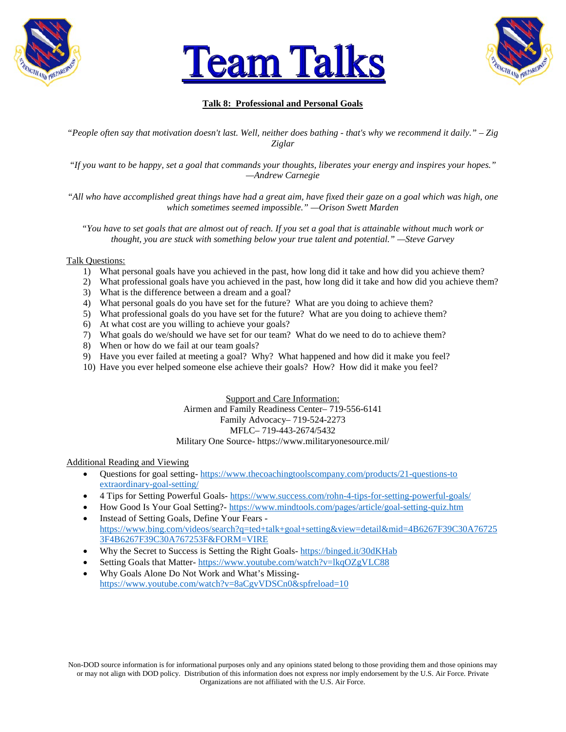





## **Talk 8: Professional and Personal Goals**

*"People often say that motivation doesn't last. Well, neither does bathing - that's why we recommend it daily." – Zig Ziglar*

*"If you want to be happy, set a goal that commands your thoughts, liberates your energy and inspires your hopes." —Andrew Carnegie*

*"All who have accomplished great things have had a great aim, have fixed their gaze on a goal which was high, one which sometimes seemed impossible." —Orison Swett Marden*

*"You have to set goals that are almost out of reach. If you set a goal that is attainable without much work or thought, you are stuck with something below your true talent and potential." —Steve Garvey*

#### Talk Questions:

- 1) What personal goals have you achieved in the past, how long did it take and how did you achieve them?
- 2) What professional goals have you achieved in the past, how long did it take and how did you achieve them?
- 3) What is the difference between a dream and a goal?
- 4) What personal goals do you have set for the future? What are you doing to achieve them?
- 5) What professional goals do you have set for the future? What are you doing to achieve them?
- 6) At what cost are you willing to achieve your goals?
- 7) What goals do we/should we have set for our team? What do we need to do to achieve them?
- 8) When or how do we fail at our team goals?
- 9) Have you ever failed at meeting a goal? Why? What happened and how did it make you feel?
- 10) Have you ever helped someone else achieve their goals? How? How did it make you feel?

Support and Care Information: Airmen and Family Readiness Center– 719-556-6141 Family Advocacy– 719-524-2273 MFLC– 719-443-2674/5432 Military One Source- https://www.militaryonesource.mil/

- Questions for goal setting- [https://www.thecoachingtoolscompany.com/products/21-questions-to](https://www.thecoachingtoolscompany.com/products/21-questions-to%20extraordinary-goal-setting/)  [extraordinary-goal-setting/](https://www.thecoachingtoolscompany.com/products/21-questions-to%20extraordinary-goal-setting/)
- 4 Tips for Setting Powerful Goals- <https://www.success.com/rohn-4-tips-for-setting-powerful-goals/>
- How Good Is Your Goal Setting?- <https://www.mindtools.com/pages/article/goal-setting-quiz.htm> • Instead of Setting Goals, Define Your Fears -
- [https://www.bing.com/videos/search?q=ted+talk+goal+setting&view=detail&mid=4B6267F39C30A76725](https://www.bing.com/videos/search?q=ted+talk+goal+setting&view=detail&mid=4B6267F39C30A767253F4B6267F39C30A767253F&FORM=VIRE) [3F4B6267F39C30A767253F&FORM=VIRE](https://www.bing.com/videos/search?q=ted+talk+goal+setting&view=detail&mid=4B6267F39C30A767253F4B6267F39C30A767253F&FORM=VIRE)
- Why the Secret to Success is Setting the Right Goals- <https://binged.it/30dKHab>
- Setting Goals that Matter- <https://www.youtube.com/watch?v=lkqOZgVLC88>
- Why Goals Alone Do Not Work and What's Missing<https://www.youtube.com/watch?v=8aCgvVDSCn0&spfreload=10>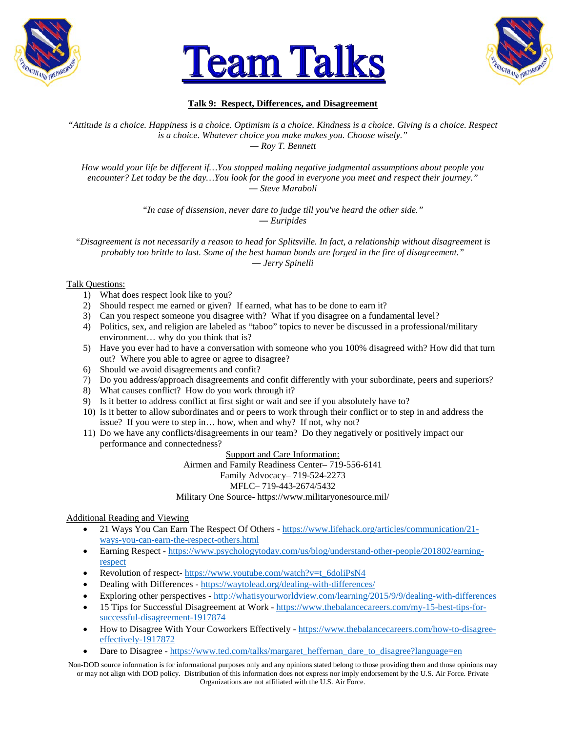





## **Talk 9: Respect, Differences, and Disagreement**

*"Attitude is a choice. Happiness is a choice. Optimism is a choice. Kindness is a choice. Giving is a choice. Respect is a choice. Whatever choice you make makes you. Choose wisely." ― Roy T. Bennett*

*How would your life be different if…You stopped making negative judgmental assumptions about people you encounter? Let today be the day…You look for the good in everyone you meet and respect their journey." ― Steve Maraboli*

> *"In case of dissension, never dare to judge till you've heard the other side." ― Euripides*

*"Disagreement is not necessarily a reason to head for Splitsville. In fact, a relationship without disagreement is probably too brittle to last. Some of the best human bonds are forged in the fire of disagreement." ― Jerry Spinelli*

## Talk Questions:

- 1) What does respect look like to you?
- 2) Should respect me earned or given? If earned, what has to be done to earn it?
- 3) Can you respect someone you disagree with? What if you disagree on a fundamental level?
- 4) Politics, sex, and religion are labeled as "taboo" topics to never be discussed in a professional/military environment… why do you think that is?
- 5) Have you ever had to have a conversation with someone who you 100% disagreed with? How did that turn out? Where you able to agree or agree to disagree?
- 6) Should we avoid disagreements and confit?
- 7) Do you address/approach disagreements and confit differently with your subordinate, peers and superiors?
- 8) What causes conflict? How do you work through it?
- 9) Is it better to address conflict at first sight or wait and see if you absolutely have to?
- 10) Is it better to allow subordinates and or peers to work through their conflict or to step in and address the issue? If you were to step in… how, when and why? If not, why not?
- 11) Do we have any conflicts/disagreements in our team? Do they negatively or positively impact our performance and connectedness?

# Support and Care Information:

Airmen and Family Readiness Center– 719-556-6141 Family Advocacy– 719-524-2273 MFLC– 719-443-2674/5432

Military One Source- https://www.militaryonesource.mil/

Additional Reading and Viewing

- 21 Ways You Can Earn The Respect Of Others [https://www.lifehack.org/articles/communication/21](https://www.lifehack.org/articles/communication/21-ways-you-can-earn-the-respect-others.html) [ways-you-can-earn-the-respect-others.html](https://www.lifehack.org/articles/communication/21-ways-you-can-earn-the-respect-others.html)
- Earning Respect [https://www.psychologytoday.com/us/blog/understand-other-people/201802/earning](https://www.psychologytoday.com/us/blog/understand-other-people/201802/earning-respect)[respect](https://www.psychologytoday.com/us/blog/understand-other-people/201802/earning-respect)
- Revolution of respect- [https://www.youtube.com/watch?v=t\\_6doliPsN4](https://www.youtube.com/watch?v=t_6doliPsN4)
- Dealing with Differences <https://waytolead.org/dealing-with-differences/>
- Exploring other perspectives <http://whatisyourworldview.com/learning/2015/9/9/dealing-with-differences>
- 15 Tips for Successful Disagreement at Work [https://www.thebalancecareers.com/my-15-best-tips-for](https://www.thebalancecareers.com/my-15-best-tips-for-successful-disagreement-1917874)[successful-disagreement-1917874](https://www.thebalancecareers.com/my-15-best-tips-for-successful-disagreement-1917874)
- How to Disagree With Your Coworkers Effectively [https://www.thebalancecareers.com/how-to-disagree](https://www.thebalancecareers.com/how-to-disagree-effectively-1917872)[effectively-1917872](https://www.thebalancecareers.com/how-to-disagree-effectively-1917872)
- Dare to Disagree [https://www.ted.com/talks/margaret\\_heffernan\\_dare\\_to\\_disagree?language=en](https://www.ted.com/talks/margaret_heffernan_dare_to_disagree?language=en)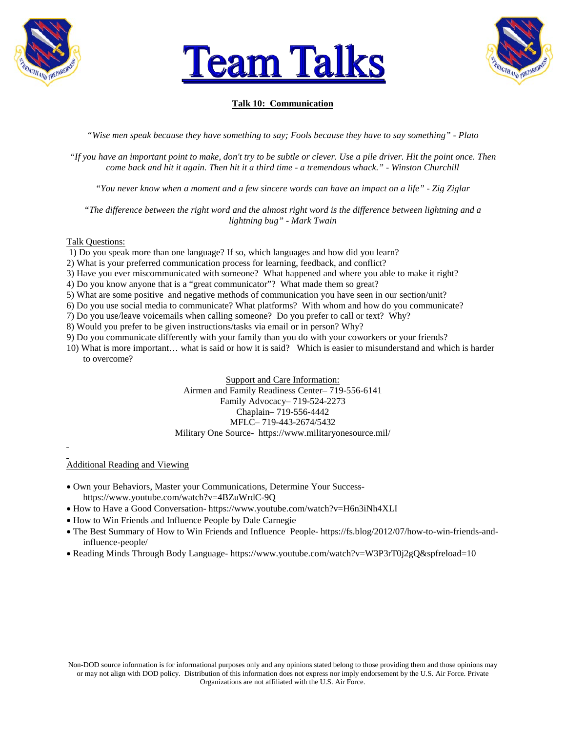





## **Talk 10: Communication**

*"Wise men speak because they have something to say; Fools because they have to say something" - Plato*

*"If you have an important point to make, don't try to be subtle or clever. Use a pile driver. Hit the point once. Then come back and hit it again. Then hit it a third time - a tremendous whack." - Winston Churchill*

*"You never know when a moment and a few sincere words can have an impact on a life" - Zig Ziglar*

*"The difference between the right word and the almost right word is the difference between lightning and a lightning bug" - Mark Twain*

#### Talk Questions:

1) Do you speak more than one language? If so, which languages and how did you learn?

- 2) What is your preferred communication process for learning, feedback, and conflict?
- 3) Have you ever miscommunicated with someone? What happened and where you able to make it right?
- 4) Do you know anyone that is a "great communicator"? What made them so great?

5) What are some positive and negative methods of communication you have seen in our section/unit?

- 6) Do you use social media to communicate? What platforms? With whom and how do you communicate?
- 7) Do you use/leave voicemails when calling someone? Do you prefer to call or text? Why?
- 8) Would you prefer to be given instructions/tasks via email or in person? Why?
- 9) Do you communicate differently with your family than you do with your coworkers or your friends?
- 10) What is more important… what is said or how it is said? Which is easier to misunderstand and which is harder to overcome?

Support and Care Information: Airmen and Family Readiness Center– 719-556-6141 Family Advocacy– 719-524-2273 Chaplain– 719-556-4442 MFLC– 719-443-2674/5432 Military One Source- https://www.militaryonesource.mil/

- Own your Behaviors, Master your Communications, Determine Your Successhttps://www.youtube.com/watch?v=4BZuWrdC-9Q
- How to Have a Good Conversation- https://www.youtube.com/watch?v=H6n3iNh4XLI
- How to Win Friends and Influence People by Dale Carnegie
- The Best Summary of How to Win Friends and Influence People- https://fs.blog/2012/07/how-to-win-friends-andinfluence-people/
- Reading Minds Through Body Language- https://www.youtube.com/watch?v=W3P3rT0j2gQ&spfreload=10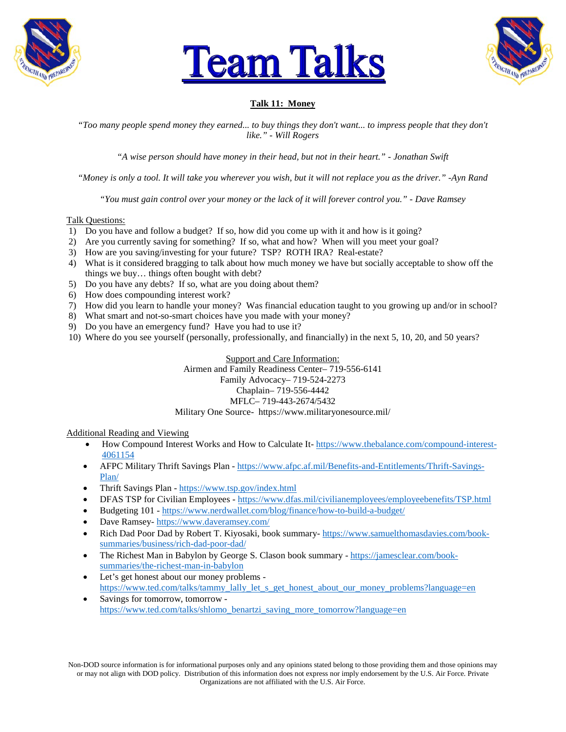





## **Talk 11: Money**

*"Too many people spend money they earned... to buy things they don't want... to impress people that they don't like." - Will Rogers*

*"A wise person should have money in their head, but not in their heart." - Jonathan Swift*

*"Money is only a tool. It will take you wherever you wish, but it will not replace you as the driver." -Ayn Rand*

*"You must gain control over your money or the lack of it will forever control you." - Dave Ramsey*

#### Talk Questions:

- 1) Do you have and follow a budget? If so, how did you come up with it and how is it going?
- 2) Are you currently saving for something? If so, what and how? When will you meet your goal?
- 3) How are you saving/investing for your future? TSP? ROTH IRA? Real-estate?
- 4) What is it considered bragging to talk about how much money we have but socially acceptable to show off the things we buy… things often bought with debt?
- 5) Do you have any debts? If so, what are you doing about them?
- 6) How does compounding interest work?
- 7) How did you learn to handle your money? Was financial education taught to you growing up and/or in school?
- 8) What smart and not-so-smart choices have you made with your money?
- 9) Do you have an emergency fund? Have you had to use it?
- 10) Where do you see yourself (personally, professionally, and financially) in the next 5, 10, 20, and 50 years?

Support and Care Information: Airmen and Family Readiness Center– 719-556-6141 Family Advocacy– 719-524-2273 Chaplain– 719-556-4442 MFLC– 719-443-2674/5432 Military One Source- https://www.militaryonesource.mil/

#### Additional Reading and Viewing

- How Compound Interest Works and How to Calculate It-[https://www.thebalance.com/compound-interest-](https://www.thebalance.com/compound-interest-4061154)[4061154](https://www.thebalance.com/compound-interest-4061154)
- AFPC Military Thrift Savings Plan [https://www.afpc.af.mil/Benefits-and-Entitlements/Thrift-Savings-](https://www.afpc.af.mil/Benefits-and-Entitlements/Thrift-Savings-Plan/)[Plan/](https://www.afpc.af.mil/Benefits-and-Entitlements/Thrift-Savings-Plan/)
- Thrift Savings Plan <https://www.tsp.gov/index.html>
- DFAS TSP for Civilian Employees <https://www.dfas.mil/civilianemployees/employeebenefits/TSP.html>
- Budgeting 101 <https://www.nerdwallet.com/blog/finance/how-to-build-a-budget/>
- Dave Ramsey- <https://www.daveramsey.com/>
- Rich Dad Poor Dad by Robert T. Kiyosaki, book summary- [https://www.samuelthomasdavies.com/book](https://www.samuelthomasdavies.com/book-summaries/business/rich-dad-poor-dad/)[summaries/business/rich-dad-poor-dad/](https://www.samuelthomasdavies.com/book-summaries/business/rich-dad-poor-dad/)
- The Richest Man in Babylon by George S. Clason book summary [https://jamesclear.com/book](https://jamesclear.com/book-summaries/the-richest-man-in-babylon)[summaries/the-richest-man-in-babylon](https://jamesclear.com/book-summaries/the-richest-man-in-babylon)
- Let's get honest about our money problems [https://www.ted.com/talks/tammy\\_lally\\_let\\_s\\_get\\_honest\\_about\\_our\\_money\\_problems?language=en](https://www.ted.com/talks/tammy_lally_let_s_get_honest_about_our_money_problems?language=en)
- Savings for tomorrow, tomorrow [https://www.ted.com/talks/shlomo\\_benartzi\\_saving\\_more\\_tomorrow?language=en](https://www.ted.com/talks/shlomo_benartzi_saving_more_tomorrow?language=en)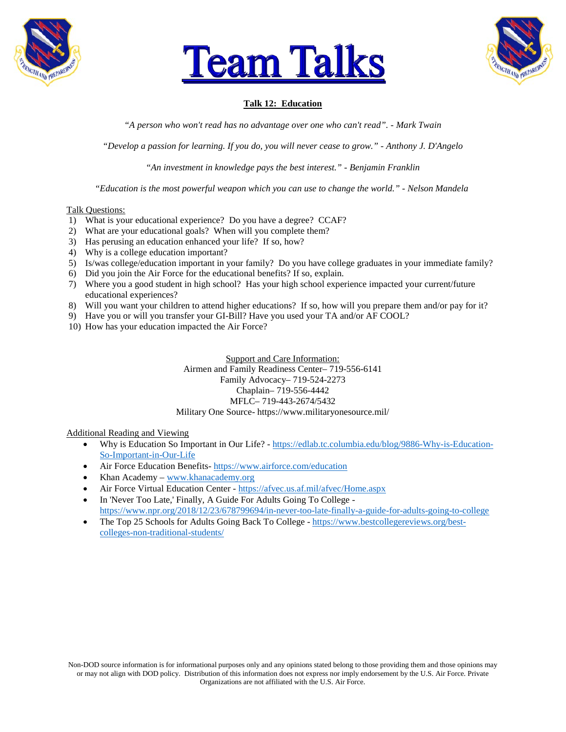





## **Talk 12: Education**

*"A person who won't read has no advantage over one who can't read". - Mark Twain*

*"Develop a passion for learning. If you do, you will never cease to grow." - Anthony J. D'Angelo*

*"An investment in knowledge pays the best interest." - Benjamin Franklin*

*"Education is the most powerful weapon which you can use to change the world." - Nelson Mandela*

#### Talk Questions:

- 1) What is your educational experience? Do you have a degree? CCAF?
- 2) What are your educational goals? When will you complete them?
- 3) Has perusing an education enhanced your life? If so, how?
- 4) Why is a college education important?
- 5) Is/was college/education important in your family? Do you have college graduates in your immediate family?
- 6) Did you join the Air Force for the educational benefits? If so, explain.
- 7) Where you a good student in high school? Has your high school experience impacted your current/future educational experiences?
- 8) Will you want your children to attend higher educations? If so, how will you prepare them and/or pay for it?
- 9) Have you or will you transfer your GI-Bill? Have you used your TA and/or AF COOL?
- 10) How has your education impacted the Air Force?

Support and Care Information: Airmen and Family Readiness Center– 719-556-6141 Family Advocacy– 719-524-2273 Chaplain– 719-556-4442 MFLC– 719-443-2674/5432 Military One Source- https://www.militaryonesource.mil/

- Why is Education So Important in Our Life? [https://edlab.tc.columbia.edu/blog/9886-Why-is-Education-](https://edlab.tc.columbia.edu/blog/9886-Why-is-Education-So-Important-in-Our-Life)[So-Important-in-Our-Life](https://edlab.tc.columbia.edu/blog/9886-Why-is-Education-So-Important-in-Our-Life)
- Air Force Education Benefits- <https://www.airforce.com/education>
- Khan Academy [www.khanacademy.org](http://www.khanacademy.org/)
- Air Force Virtual Education Center <https://afvec.us.af.mil/afvec/Home.aspx>
- In 'Never Too Late,' Finally, A Guide For Adults Going To College <https://www.npr.org/2018/12/23/678799694/in-never-too-late-finally-a-guide-for-adults-going-to-college>
- The Top 25 Schools for Adults Going Back To College [https://www.bestcollegereviews.org/best](https://www.bestcollegereviews.org/best-colleges-non-traditional-students/)[colleges-non-traditional-students/](https://www.bestcollegereviews.org/best-colleges-non-traditional-students/)